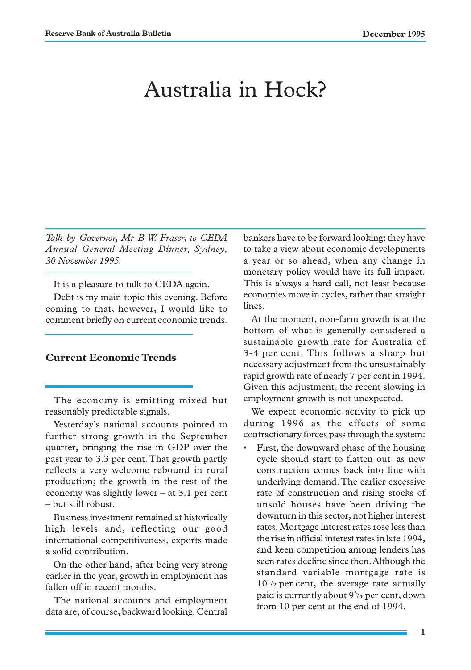# Australia in Hock?

*Talk by Governor, Mr B.W. Fraser, to CEDA Annual General Meeting Dinner, Sydney, 30 November 1995.*

It is a pleasure to talk to CEDA again.

Debt is my main topic this evening. Before coming to that, however, I would like to comment briefly on current economic trends.

# **Current Economic Trends**

The economy is emitting mixed but reasonably predictable signals.

Yesterday's national accounts pointed to further strong growth in the September quarter, bringing the rise in GDP over the past year to 3.3 per cent. That growth partly reflects a very welcome rebound in rural production; the growth in the rest of the economy was slightly lower – at 3.1 per cent – but still robust.

Business investment remained at historically high levels and, reflecting our good international competitiveness, exports made a solid contribution.

On the other hand, after being very strong earlier in the year, growth in employment has fallen off in recent months.

The national accounts and employment data are, of course, backward looking. Central

bankers have to be forward looking: they have to take a view about economic developments a year or so ahead, when any change in monetary policy would have its full impact. This is always a hard call, not least because economies move in cycles, rather than straight lines.

At the moment, non-farm growth is at the bottom of what is generally considered a sustainable growth rate for Australia of 3-4 per cent. This follows a sharp but necessary adjustment from the unsustainably rapid growth rate of nearly 7 per cent in 1994. Given this adjustment, the recent slowing in employment growth is not unexpected.

We expect economic activity to pick up during 1996 as the effects of some contractionary forces pass through the system:

First, the downward phase of the housing cycle should start to flatten out, as new construction comes back into line with underlying demand. The earlier excessive rate of construction and rising stocks of unsold houses have been driving the downturn in this sector, not higher interest rates. Mortgage interest rates rose less than the rise in official interest rates in late 1994, and keen competition among lenders has seen rates decline since then. Although the standard variable mortgage rate is 101 /2 per cent, the average rate actually paid is currently about 93 /4 per cent, down from 10 per cent at the end of 1994.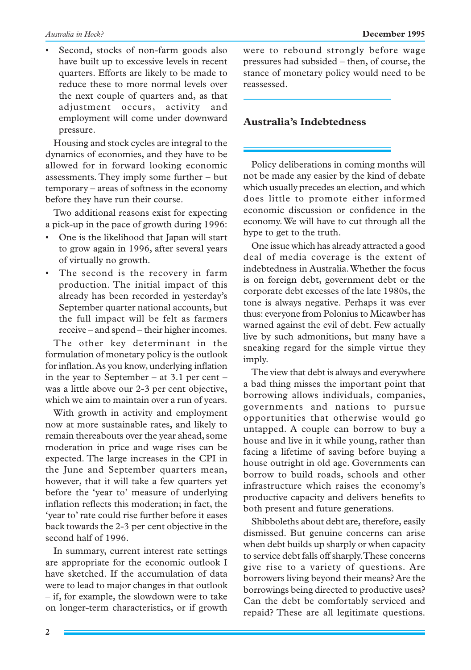Second, stocks of non-farm goods also have built up to excessive levels in recent quarters. Efforts are likely to be made to reduce these to more normal levels over the next couple of quarters and, as that adjustment occurs, activity and employment will come under downward pressure.

Housing and stock cycles are integral to the dynamics of economies, and they have to be allowed for in forward looking economic assessments. They imply some further – but temporary – areas of softness in the economy before they have run their course.

Two additional reasons exist for expecting a pick-up in the pace of growth during 1996:

- One is the likelihood that Japan will start to grow again in 1996, after several years of virtually no growth.
- The second is the recovery in farm production. The initial impact of this already has been recorded in yesterday's September quarter national accounts, but the full impact will be felt as farmers receive – and spend – their higher incomes.

The other key determinant in the formulation of monetary policy is the outlook for inflation. As you know, underlying inflation in the year to September – at 3.1 per cent – was a little above our 2-3 per cent objective, which we aim to maintain over a run of years.

With growth in activity and employment now at more sustainable rates, and likely to remain thereabouts over the year ahead, some moderation in price and wage rises can be expected. The large increases in the CPI in the June and September quarters mean, however, that it will take a few quarters yet before the 'year to' measure of underlying inflation reflects this moderation; in fact, the 'year to' rate could rise further before it eases back towards the 2-3 per cent objective in the second half of 1996.

In summary, current interest rate settings are appropriate for the economic outlook I have sketched. If the accumulation of data were to lead to major changes in that outlook – if, for example, the slowdown were to take on longer-term characteristics, or if growth were to rebound strongly before wage pressures had subsided – then, of course, the stance of monetary policy would need to be reassessed.

# **Australia's Indebtedness**

Policy deliberations in coming months will not be made any easier by the kind of debate which usually precedes an election, and which does little to promote either informed economic discussion or confidence in the economy. We will have to cut through all the hype to get to the truth.

One issue which has already attracted a good deal of media coverage is the extent of indebtedness in Australia. Whether the focus is on foreign debt, government debt or the corporate debt excesses of the late 1980s, the tone is always negative. Perhaps it was ever thus: everyone from Polonius to Micawber has warned against the evil of debt. Few actually live by such admonitions, but many have a sneaking regard for the simple virtue they imply.

The view that debt is always and everywhere a bad thing misses the important point that borrowing allows individuals, companies, governments and nations to pursue opportunities that otherwise would go untapped. A couple can borrow to buy a house and live in it while young, rather than facing a lifetime of saving before buying a house outright in old age. Governments can borrow to build roads, schools and other infrastructure which raises the economy's productive capacity and delivers benefits to both present and future generations.

Shibboleths about debt are, therefore, easily dismissed. But genuine concerns can arise when debt builds up sharply or when capacity to service debt falls off sharply. These concerns give rise to a variety of questions. Are borrowers living beyond their means? Are the borrowings being directed to productive uses? Can the debt be comfortably serviced and repaid? These are all legitimate questions.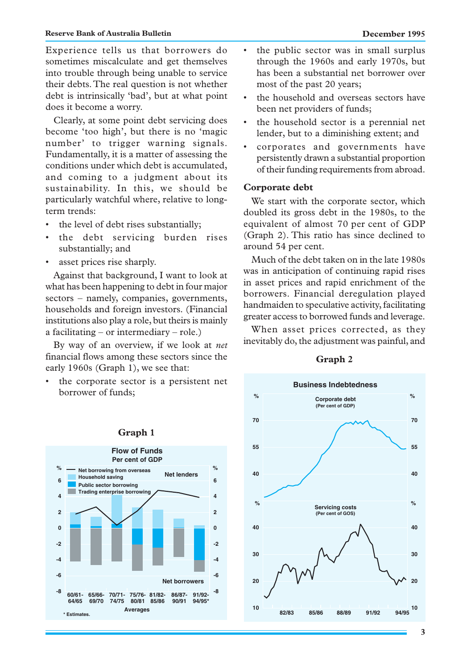#### **Reserve Bank of Australia Bulletin December 1995**

Experience tells us that borrowers do sometimes miscalculate and get themselves into trouble through being unable to service their debts. The real question is not whether debt is intrinsically 'bad', but at what point does it become a worry.

Clearly, at some point debt servicing does become 'too high', but there is no 'magic number' to trigger warning signals. Fundamentally, it is a matter of assessing the conditions under which debt is accumulated, and coming to a judgment about its sustainability. In this, we should be particularly watchful where, relative to longterm trends:

- the level of debt rises substantially;
- the debt servicing burden rises substantially; and
- asset prices rise sharply.

Against that background, I want to look at what has been happening to debt in four major sectors – namely, companies, governments, households and foreign investors. (Financial institutions also play a role, but theirs is mainly a facilitating – or intermediary – role.)

By way of an overview, if we look at *net* financial flows among these sectors since the early 1960s (Graph 1), we see that:

• the corporate sector is a persistent net borrower of funds;



# • the public sector was in small surplus through the 1960s and early 1970s, but has been a substantial net borrower over most of the past 20 years;

- the household and overseas sectors have been net providers of funds;
- the household sector is a perennial net lender, but to a diminishing extent; and
- corporates and governments have persistently drawn a substantial proportion of their funding requirements from abroad.

### **Corporate debt**

We start with the corporate sector, which doubled its gross debt in the 1980s, to the equivalent of almost 70 per cent of GDP (Graph 2). This ratio has since declined to around 54 per cent.

Much of the debt taken on in the late 1980s was in anticipation of continuing rapid rises in asset prices and rapid enrichment of the borrowers. Financial deregulation played handmaiden to speculative activity, facilitating greater access to borrowed funds and leverage.

When asset prices corrected, as they inevitably do, the adjustment was painful, and



### **Graph 2**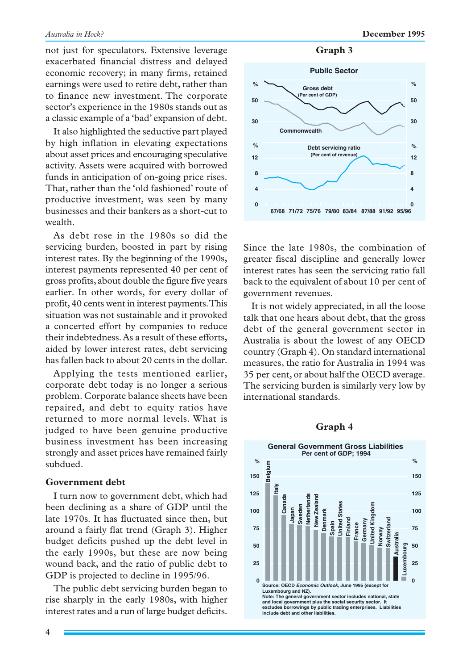not just for speculators. Extensive leverage exacerbated financial distress and delayed economic recovery; in many firms, retained earnings were used to retire debt, rather than to finance new investment. The corporate sector's experience in the 1980s stands out as a classic example of a 'bad' expansion of debt.

It also highlighted the seductive part played by high inflation in elevating expectations about asset prices and encouraging speculative activity. Assets were acquired with borrowed funds in anticipation of on-going price rises. That, rather than the 'old fashioned' route of productive investment, was seen by many businesses and their bankers as a short-cut to wealth.

As debt rose in the 1980s so did the servicing burden, boosted in part by rising interest rates. By the beginning of the 1990s, interest payments represented 40 per cent of gross profits, about double the figure five years earlier. In other words, for every dollar of profit, 40 cents went in interest payments. This situation was not sustainable and it provoked a concerted effort by companies to reduce their indebtedness. As a result of these efforts, aided by lower interest rates, debt servicing has fallen back to about 20 cents in the dollar.

Applying the tests mentioned earlier, corporate debt today is no longer a serious problem. Corporate balance sheets have been repaired, and debt to equity ratios have returned to more normal levels. What is judged to have been genuine productive business investment has been increasing strongly and asset prices have remained fairly subdued.

#### **Government debt**

I turn now to government debt, which had been declining as a share of GDP until the late 1970s. It has fluctuated since then, but around a fairly flat trend (Graph 3). Higher budget deficits pushed up the debt level in the early 1990s, but these are now being wound back, and the ratio of public debt to GDP is projected to decline in 1995/96.

The public debt servicing burden began to rise sharply in the early 1980s, with higher interest rates and a run of large budget deficits.





Since the late 1980s, the combination of greater fiscal discipline and generally lower interest rates has seen the servicing ratio fall back to the equivalent of about 10 per cent of government revenues.

It is not widely appreciated, in all the loose talk that one hears about debt, that the gross debt of the general government sector in Australia is about the lowest of any OECD country (Graph 4). On standard international measures, the ratio for Australia in 1994 was 35 per cent, or about half the OECD average. The servicing burden is similarly very low by international standards.

#### **Graph 4**

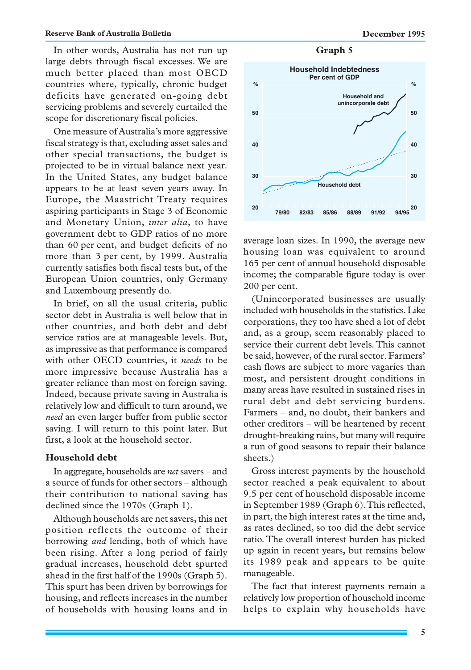In other words, Australia has not run up large debts through fiscal excesses. We are much better placed than most OECD countries where, typically, chronic budget deficits have generated on-going debt servicing problems and severely curtailed the scope for discretionary fiscal policies.

One measure of Australia's more aggressive fiscal strategy is that, excluding asset sales and other special transactions, the budget is projected to be in virtual balance next year. In the United States, any budget balance appears to be at least seven years away. In Europe, the Maastricht Treaty requires aspiring participants in Stage 3 of Economic and Monetary Union, *inter alia*, to have government debt to GDP ratios of no more than 60 per cent, and budget deficits of no more than 3 per cent, by 1999. Australia currently satisfies both fiscal tests but, of the European Union countries, only Germany and Luxembourg presently do.

In brief, on all the usual criteria, public sector debt in Australia is well below that in other countries, and both debt and debt service ratios are at manageable levels. But, as impressive as that performance is compared with other OECD countries, it *needs* to be more impressive because Australia has a greater reliance than most on foreign saving. Indeed, because private saving in Australia is relatively low and difficult to turn around, we *need* an even larger buffer from public sector saving. I will return to this point later. But first, a look at the household sector.

## **Household debt**

In aggregate, households are *net* savers – and a source of funds for other sectors – although their contribution to national saving has declined since the 1970s (Graph 1).

Although households are net savers, this net position reflects the outcome of their borrowing *and* lending, both of which have been rising. After a long period of fairly gradual increases, household debt spurted ahead in the first half of the 1990s (Graph 5). This spurt has been driven by borrowings for housing, and reflects increases in the number of households with housing loans and in

**Graph 5**



average loan sizes. In 1990, the average new housing loan was equivalent to around 165 per cent of annual household disposable income; the comparable figure today is over 200 per cent.

(Unincorporated businesses are usually included with households in the statistics. Like corporations, they too have shed a lot of debt and, as a group, seem reasonably placed to service their current debt levels. This cannot be said, however, of the rural sector. Farmers' cash flows are subject to more vagaries than most, and persistent drought conditions in many areas have resulted in sustained rises in rural debt and debt servicing burdens. Farmers – and, no doubt, their bankers and other creditors – will be heartened by recent drought-breaking rains, but many will require a run of good seasons to repair their balance sheets.)

Gross interest payments by the household sector reached a peak equivalent to about 9.5 per cent of household disposable income in September 1989 (Graph 6). This reflected, in part, the high interest rates at the time and, as rates declined, so too did the debt service ratio. The overall interest burden has picked up again in recent years, but remains below its 1989 peak and appears to be quite manageable.

The fact that interest payments remain a relatively low proportion of household income helps to explain why households have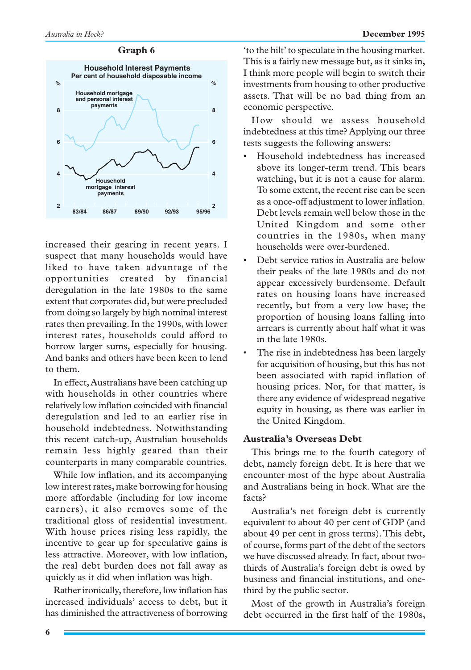### **Graph 6**



increased their gearing in recent years. I suspect that many households would have liked to have taken advantage of the opportunities created by financial deregulation in the late 1980s to the same extent that corporates did, but were precluded from doing so largely by high nominal interest rates then prevailing. In the 1990s, with lower interest rates, households could afford to borrow larger sums, especially for housing. And banks and others have been keen to lend to them.

In effect, Australians have been catching up with households in other countries where relatively low inflation coincided with financial deregulation and led to an earlier rise in household indebtedness. Notwithstanding this recent catch-up, Australian households remain less highly geared than their counterparts in many comparable countries.

While low inflation, and its accompanying low interest rates, make borrowing for housing more affordable (including for low income earners), it also removes some of the traditional gloss of residential investment. With house prices rising less rapidly, the incentive to gear up for speculative gains is less attractive. Moreover, with low inflation, the real debt burden does not fall away as quickly as it did when inflation was high.

Rather ironically, therefore, low inflation has increased individuals' access to debt, but it has diminished the attractiveness of borrowing 'to the hilt' to speculate in the housing market. This is a fairly new message but, as it sinks in, I think more people will begin to switch their investments from housing to other productive assets. That will be no bad thing from an economic perspective.

How should we assess household indebtedness at this time? Applying our three tests suggests the following answers:

- Household indebtedness has increased above its longer-term trend. This bears watching, but it is not a cause for alarm. To some extent, the recent rise can be seen as a once-off adjustment to lower inflation. Debt levels remain well below those in the United Kingdom and some other countries in the 1980s, when many households were over-burdened.
- Debt service ratios in Australia are below their peaks of the late 1980s and do not appear excessively burdensome. Default rates on housing loans have increased recently, but from a very low base; the proportion of housing loans falling into arrears is currently about half what it was in the late 1980s.
- The rise in indebtedness has been largely for acquisition of housing, but this has not been associated with rapid inflation of housing prices. Nor, for that matter, is there any evidence of widespread negative equity in housing, as there was earlier in the United Kingdom.

## **Australia's Overseas Debt**

This brings me to the fourth category of debt, namely foreign debt. It is here that we encounter most of the hype about Australia and Australians being in hock. What are the facts?

Australia's net foreign debt is currently equivalent to about 40 per cent of GDP (and about 49 per cent in gross terms). This debt, of course, forms part of the debt of the sectors we have discussed already. In fact, about twothirds of Australia's foreign debt is owed by business and financial institutions, and onethird by the public sector.

Most of the growth in Australia's foreign debt occurred in the first half of the 1980s,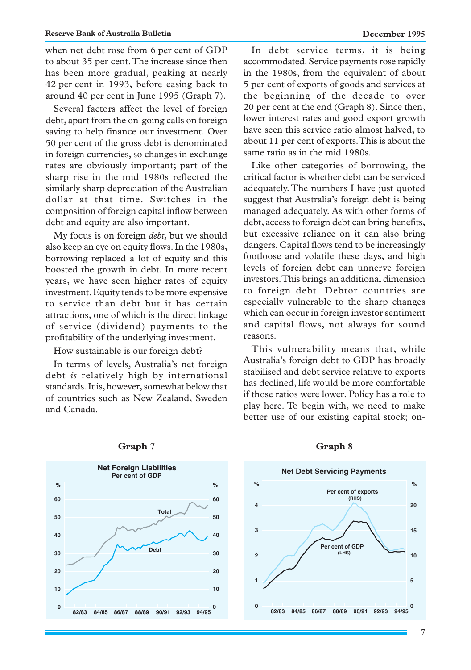when net debt rose from 6 per cent of GDP to about 35 per cent. The increase since then has been more gradual, peaking at nearly 42 per cent in 1993, before easing back to around 40 per cent in June 1995 (Graph 7).

Several factors affect the level of foreign debt, apart from the on-going calls on foreign saving to help finance our investment. Over 50 per cent of the gross debt is denominated in foreign currencies, so changes in exchange rates are obviously important; part of the sharp rise in the mid 1980s reflected the similarly sharp depreciation of the Australian dollar at that time. Switches in the composition of foreign capital inflow between debt and equity are also important.

My focus is on foreign *debt*, but we should also keep an eye on equity flows. In the 1980s, borrowing replaced a lot of equity and this boosted the growth in debt. In more recent years, we have seen higher rates of equity investment. Equity tends to be more expensive to service than debt but it has certain attractions, one of which is the direct linkage of service (dividend) payments to the profitability of the underlying investment.

How sustainable is our foreign debt?

In terms of levels, Australia's net foreign debt *is* relatively high by international standards. It is, however, somewhat below that of countries such as New Zealand, Sweden and Canada.

In debt service terms, it is being accommodated. Service payments rose rapidly in the 1980s, from the equivalent of about 5 per cent of exports of goods and services at the beginning of the decade to over 20 per cent at the end (Graph 8). Since then, lower interest rates and good export growth have seen this service ratio almost halved, to about 11 per cent of exports. This is about the same ratio as in the mid 1980s.

Like other categories of borrowing, the critical factor is whether debt can be serviced adequately. The numbers I have just quoted suggest that Australia's foreign debt is being managed adequately. As with other forms of debt, access to foreign debt can bring benefits, but excessive reliance on it can also bring dangers. Capital flows tend to be increasingly footloose and volatile these days, and high levels of foreign debt can unnerve foreign investors. This brings an additional dimension to foreign debt. Debtor countries are especially vulnerable to the sharp changes which can occur in foreign investor sentiment and capital flows, not always for sound reasons.

This vulnerability means that, while Australia's foreign debt to GDP has broadly stabilised and debt service relative to exports has declined, life would be more comfortable if those ratios were lower. Policy has a role to play here. To begin with, we need to make better use of our existing capital stock; on-



### **Graph 7**

# **Graph 8**